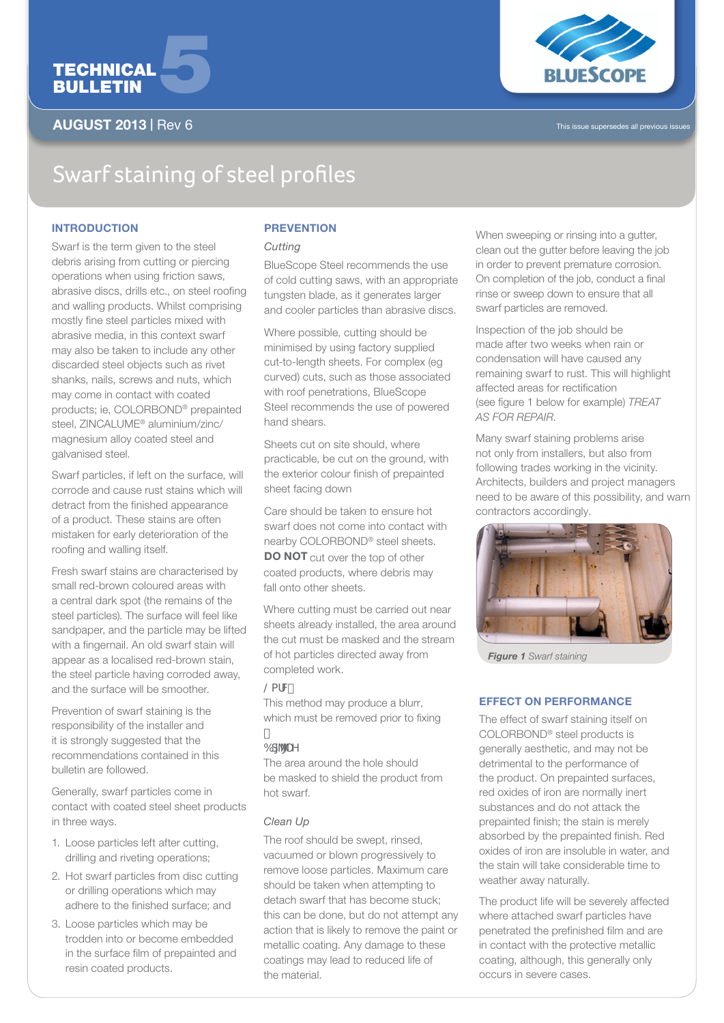

## AUGUST 2013 | Rev 6



# Swarf staining of steel profiles

## **INTRODUCTION**

Swarf is the term given to the steel debris arising from cutting or piercing operations when using friction saws, abrasive discs, drills etc., on steel roofing and walling products. Whilst comprising mostly fine steel particles mixed with abrasive media, in this context swarf may also be taken to include any other discarded steel objects such as rivet shanks, nails, screws and nuts, which may come in contact with coated products; ie, COLORBOND® prepainted steel, ZINCALUME® aluminium/zinc/ magnesium alloy coated steel and galvanised steel.

Swarf particles, if left on the surface, will corrode and cause rust stains which will detract from the finished appearance of a product. These stains are often mistaken for early deterioration of the roofing and walling itself.

Fresh swarf stains are characterised by small red-brown coloured areas with a central dark spot (the remains of the steel particles). The surface will feel like sandpaper, and the particle may be lifted with a fingernail. An old swarf stain will appear as a localised red-brown stain, the steel particle having corroded away, and the surface will be smoother.

Prevention of swarf staining is the responsibility of the installer and it is strongly suggested that the recommendations contained in this bulletin are followed.

Generally, swarf particles come in contact with coated steel sheet products in three ways.

- 1. Loose particles left after cutting, drilling and riveting operations;
- 2. Hot swarf particles from disc cutting or drilling operations which may adhere to the finished surface; and
- 3. Loose particles which may be trodden into or become embedded in the surface film of prepainted and resin coated products.

### **PREVENTION**

#### *Cutting*

BlueScope Steel recommends the use of cold cutting saws, with an appropriate tungsten blade, as it generates larger and cooler particles than abrasive discs.

Where possible, cutting should be minimised by using factory supplied cut-to-length sheets. For complex (eg curved) cuts, such as those associated with roof penetrations, BlueScope Steel recommends the use of powered hand shears.

Sheets cut on site should, where practicable, be cut on the ground, with the exterior colour finish of prepainted sheet facing down

Care should be taken to ensure hot swarf does not come into contact with nearby COLORBOND® steel sheets. DO NOT cut over the top of other coated products, where debris may fall onto other sheets.

Where cutting must be carried out near sheets already installed, the area around the cut must be masked and the stream of hot particles directed away from completed work.

#### $@afM$

This method may produce a blurr, which must be removed prior to fixing

## $6d^{\prime\prime\prime}$  Y

The area around the hole should be masked to shield the product from hot swarf.

## *Clean Up*

The roof should be swept, rinsed, vacuumed or blown progressively to remove loose particles. Maximum care should be taken when attempting to detach swarf that has become stuck; this can be done, but do not attempt any action that is likely to remove the paint or metallic coating. Any damage to these coatings may lead to reduced life of the material.

When sweeping or rinsing into a gutter, clean out the gutter before leaving the job in order to prevent premature corrosion. On completion of the job, conduct a final rinse or sweep down to ensure that all swarf particles are removed.

Inspection of the job should be made after two weeks when rain or condensation will have caused any remaining swarf to rust. This will highlight affected areas for rectification (see figure 1 below for example) *TREAT AS FOR REPAIR*.

Many swarf staining problems arise not only from installers, but also from following trades working in the vicinity. Architects, builders and project managers need to be aware of this possibility, and warn contractors accordingly.



*Figure 1 Swarf staining*

## Effect on performance

The effect of swarf staining itself on COLORBOND® steel products is generally aesthetic, and may not be detrimental to the performance of the product. On prepainted surfaces, red oxides of iron are normally inert substances and do not attack the prepainted finish; the stain is merely absorbed by the prepainted finish. Red oxides of iron are insoluble in water, and the stain will take considerable time to weather away naturally.

The product life will be severely affected where attached swarf particles have penetrated the prefinished film and are in contact with the protective metallic coating, although, this generally only occurs in severe cases.